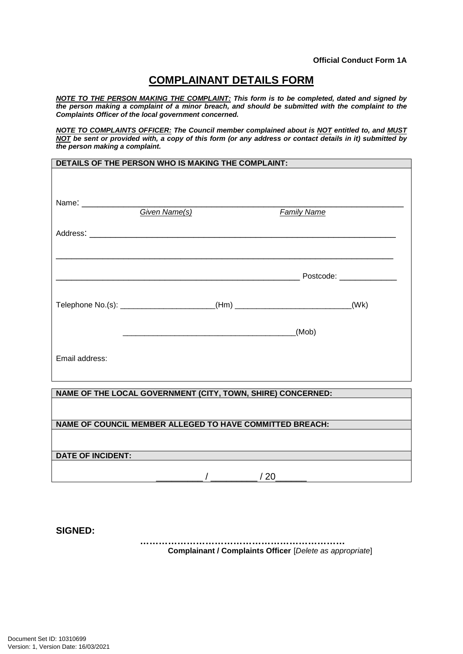## **COMPLAINANT DETAILS FORM**

*NOTE TO THE PERSON MAKING THE COMPLAINT: This form is to be completed, dated and signed by the person making a complaint of a minor breach, and should be submitted with the complaint to the Complaints Officer of the local government concerned.*

*NOTE TO COMPLAINTS OFFICER: The Council member complained about is NOT entitled to, and MUST NOT be sent or provided with, a copy of this form (or any address or contact details in it) submitted by the person making a complaint.* 

| DETAILS OF THE PERSON WHO IS MAKING THE COMPLAINT: |  |
|----------------------------------------------------|--|
|                                                    |  |
|                                                    |  |
|                                                    |  |

|                                                             | <b>Given Name(s)</b> |  | <b>Family Name</b>                                                               |      |
|-------------------------------------------------------------|----------------------|--|----------------------------------------------------------------------------------|------|
|                                                             |                      |  |                                                                                  |      |
|                                                             |                      |  | __ Postcode: ______________                                                      |      |
|                                                             |                      |  | Telephone No.(s): ______________________(Hm) ___________________________________ | (Wk) |
|                                                             |                      |  | (Mob)                                                                            |      |
| Email address:                                              |                      |  |                                                                                  |      |
|                                                             |                      |  |                                                                                  |      |
| NAME OF THE LOCAL GOVERNMENT (CITY, TOWN, SHIRE) CONCERNED: |                      |  |                                                                                  |      |

**NAME OF COUNCIL MEMBER ALLEGED TO HAVE COMMITTED BREACH:**

## **DATE OF INCIDENT:**

**SIGNED:**

**………………………………………………………… Complainant / Complaints Officer** [*Delete as appropriate*]

 $/20$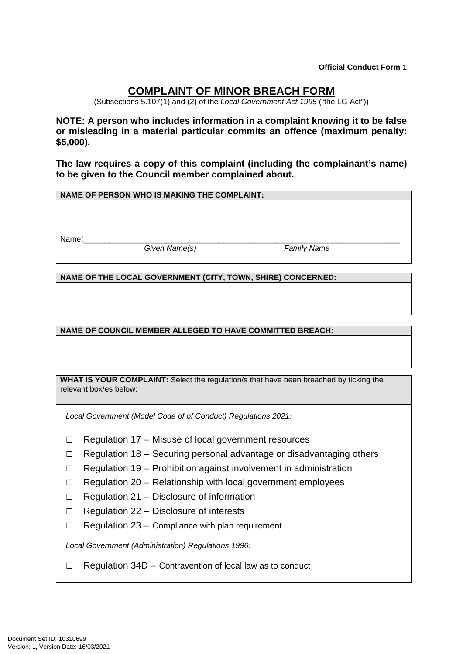**Official Conduct Form 1**

## **COMPLAINT OF MINOR BREACH FORM**

(Subsections 5.107(1) and (2) of the *Local Government Act 1995* ("the LG Act"))

**NOTE: A person who includes information in a complaint knowing it to be false or misleading in a material particular commits an offence (maximum penalty: \$5,000).** 

**The law requires a copy of this complaint (including the complainant's name) to be given to the Council member complained about.** 

**NAME OF PERSON WHO IS MAKING THE COMPLAINT:**

Name:\_\_\_\_\_\_\_\_\_\_\_\_\_\_\_\_\_\_\_\_\_\_\_\_\_\_\_\_\_\_\_\_\_\_\_\_\_\_\_\_\_\_\_\_\_\_\_\_\_\_\_\_\_\_\_\_\_\_\_\_\_

*Given Name(s) Family Name*

**NAME OF THE LOCAL GOVERNMENT (CITY, TOWN, SHIRE) CONCERNED:**

**NAME OF COUNCIL MEMBER ALLEGED TO HAVE COMMITTED BREACH:**

**WHAT IS YOUR COMPLAINT:** Select the regulation/s that have been breached by ticking the relevant box/es below:

*Local Government (Model Code of of Conduct) Regulations 2021:*

- □ Regulation 17 Misuse of local government resources
- $\Box$  Regulation 18 Securing personal advantage or disadvantaging others
- $\Box$  Regulation 19 Prohibition against involvement in administration
- $\Box$  Regulation 20 Relationship with local government employees
- $\Box$  Regulation 21 Disclosure of information
- $\Box$  Regulation 22 Disclosure of interests
- $\Box$  Regulation 23 Compliance with plan requirement

*Local Government (Administration) Regulations 1996:*

 $\Box$  Regulation 34D – Contravention of local law as to conduct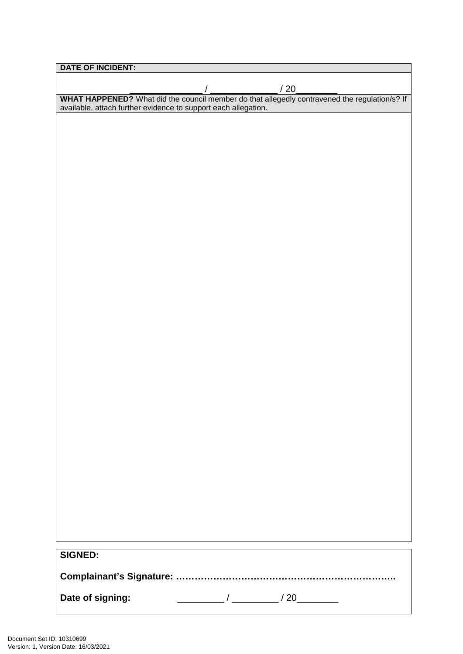| <b>DATE OF INCIDENT:</b>                                                                                                                                     |
|--------------------------------------------------------------------------------------------------------------------------------------------------------------|
|                                                                                                                                                              |
|                                                                                                                                                              |
| WHAT HAPPENED? What did the council member do that allegedly contravened the regulation/s? If available, attach further evidence to support each allegation. |
|                                                                                                                                                              |
|                                                                                                                                                              |
|                                                                                                                                                              |
|                                                                                                                                                              |
|                                                                                                                                                              |
|                                                                                                                                                              |
|                                                                                                                                                              |
|                                                                                                                                                              |
|                                                                                                                                                              |
|                                                                                                                                                              |
|                                                                                                                                                              |
|                                                                                                                                                              |
|                                                                                                                                                              |
|                                                                                                                                                              |
|                                                                                                                                                              |
|                                                                                                                                                              |
|                                                                                                                                                              |
|                                                                                                                                                              |
|                                                                                                                                                              |
|                                                                                                                                                              |
|                                                                                                                                                              |
|                                                                                                                                                              |
|                                                                                                                                                              |
|                                                                                                                                                              |
|                                                                                                                                                              |
|                                                                                                                                                              |
|                                                                                                                                                              |
|                                                                                                                                                              |
|                                                                                                                                                              |
|                                                                                                                                                              |
|                                                                                                                                                              |
|                                                                                                                                                              |
|                                                                                                                                                              |
|                                                                                                                                                              |
|                                                                                                                                                              |
|                                                                                                                                                              |
| <b>SIGNED:</b>                                                                                                                                               |
|                                                                                                                                                              |
|                                                                                                                                                              |
| Date of signing:                                                                                                                                             |
|                                                                                                                                                              |